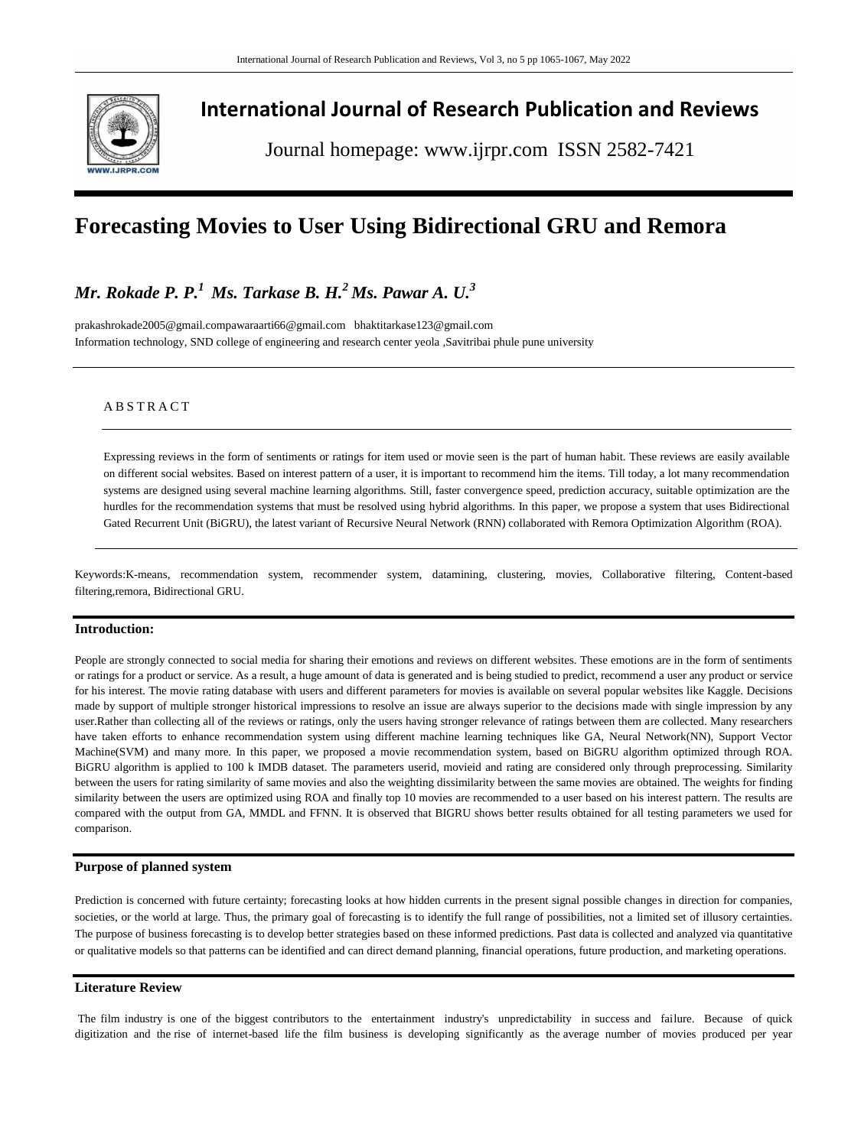

# **International Journal of Research Publication and Reviews**

Journal homepage: www.ijrpr.com ISSN 2582-7421

# **Forecasting Movies to User Using Bidirectional GRU and Remora**

# *Mr. Rokade P. P.<sup>1</sup>Ms. Tarkase B. H.<sup>2</sup>Ms. Pawar A. U.<sup>3</sup>*

[prakashrokade2005@gmail.compawaraarti66@gmail.com](mailto:prakashrokade2005@gmail.com) bhaktitarkase123@gmail.com Information technology, SND college of engineering and research center yeola ,Savitribai phule pune university

# **ABSTRACT**

Expressing reviews in the form of sentiments or ratings for item used or movie seen is the part of human habit. These reviews are easily available on different social websites. Based on interest pattern of a user, it is important to recommend him the items. Till today, a lot many recommendation systems are designed using several machine learning algorithms. Still, faster convergence speed, prediction accuracy, suitable optimization are the hurdles for the recommendation systems that must be resolved using hybrid algorithms. In this paper, we propose a system that uses Bidirectional Gated Recurrent Unit (BiGRU), the latest variant of Recursive Neural Network (RNN) collaborated with Remora Optimization Algorithm (ROA).

Keywords:K-means, recommendation system, recommender system, datamining, clustering, movies, Collaborative filtering, Content-based filtering,remora, Bidirectional GRU.

### **Introduction:**

People are strongly connected to social media for sharing their emotions and reviews on different websites. These emotions are in the form of sentiments or ratings for a product or service. As a result, a huge amount of data is generated and is being studied to predict, recommend a user any product or service for his interest. The movie rating database with users and different parameters for movies is available on several popular websites like Kaggle. Decisions made by support of multiple stronger historical impressions to resolve an issue are always superior to the decisions made with single impression by any user.Rather than collecting all of the reviews or ratings, only the users having stronger relevance of ratings between them are collected. Many researchers have taken efforts to enhance recommendation system using different machine learning techniques like GA, Neural Network(NN), Support Vector Machine(SVM) and many more. In this paper, we proposed a movie recommendation system, based on BiGRU algorithm optimized through ROA. BiGRU algorithm is applied to 100 k IMDB dataset. The parameters userid, movieid and rating are considered only through preprocessing. Similarity between the users for rating similarity of same movies and also the weighting dissimilarity between the same movies are obtained. The weights for finding similarity between the users are optimized using ROA and finally top 10 movies are recommended to a user based on his interest pattern. The results are compared with the output from GA, MMDL and FFNN. It is observed that BIGRU shows better results obtained for all testing parameters we used for comparison.

## **Purpose of planned system**

Prediction is concerned with future certainty; forecasting looks at how hidden currents in the present signal possible changes in direction for companies, societies, or the world at large. Thus, the primary goal of forecasting is to identify the full range of possibilities, not a limited set of illusory certainties. The purpose of business forecasting is to develop better strategies based on these informed predictions. Past data is collected and analyzed via quantitative or qualitative models so that patterns can be identified and can direct demand planning, financial operations, future production, and marketing operations.

# **Literature Review**

The film industry is one of the biggest contributors to the entertainment industry's unpredictability in success and failure. Because of quick digitization and the rise of internet-based life the film business is developing significantly as the average number of movies produced per year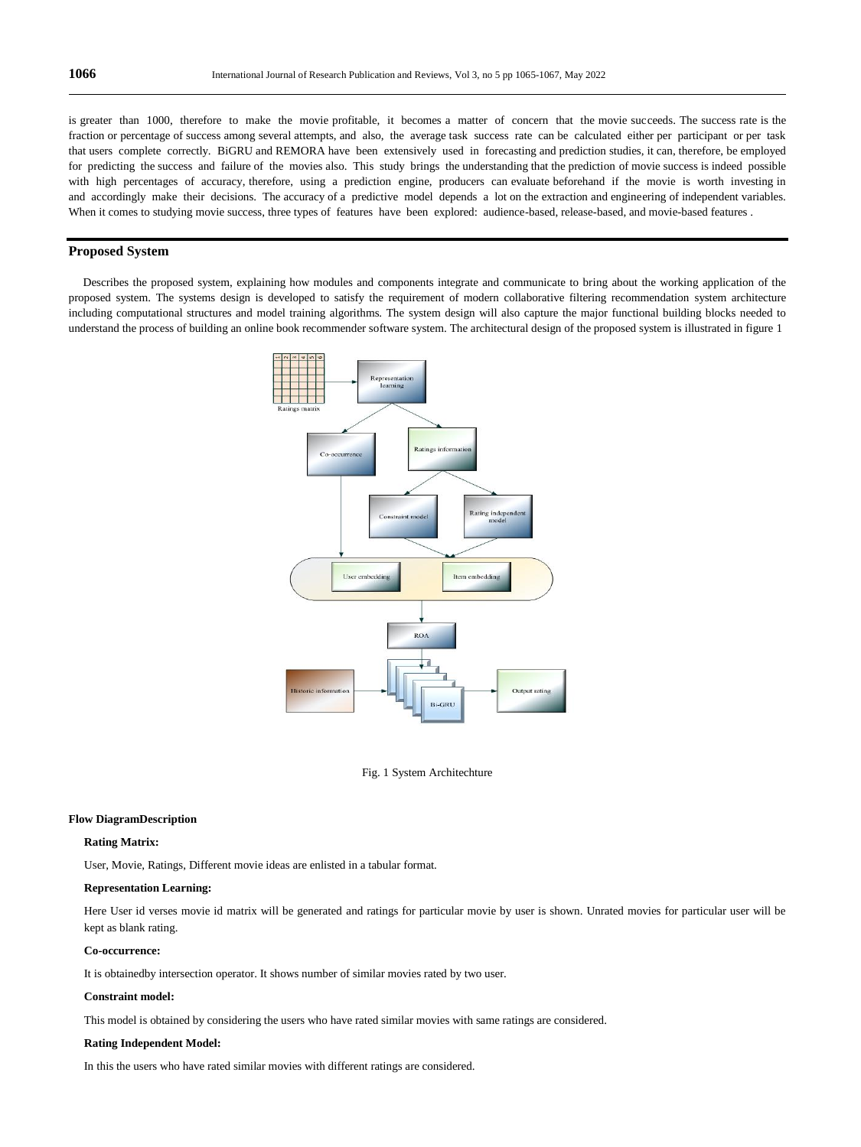is greater than 1000, therefore to make the movie profitable, it becomes a matter of concern that the movie succeeds. The success rate is the fraction or percentage of success among several attempts, and also, the average task success rate can be calculated either per participant or per task that users complete correctly. BiGRU and REMORA have been extensively used in forecasting and prediction studies, it can, therefore, be employed for predicting the success and failure of the movies also. This study brings the understanding that the prediction of movie success is indeed possible with high percentages of accuracy, therefore, using a prediction engine, producers can evaluate beforehand if the movie is worth investing in and accordingly make their decisions. The accuracy of a predictive model depends a lot on the extraction and engineering of independent variables. When it comes to studying movie success, three types of features have been explored: audience-based, release-based, and movie-based features .

## **Proposed System**

 Describes the proposed system, explaining how modules and components integrate and communicate to bring about the working application of the proposed system. The systems design is developed to satisfy the requirement of modern collaborative filtering recommendation system architecture including computational structures and model training algorithms. The system design will also capture the major functional building blocks needed to understand the process of building an online book recommender software system. The architectural design of the proposed system is illustrated in figure 1



Fig. 1 System Architechture

#### **Flow DiagramDescription**

### **Rating Matrix:**

User, Movie, Ratings, Different movie ideas are enlisted in a tabular format.

#### **Representation Learning:**

Here User id verses movie id matrix will be generated and ratings for particular movie by user is shown. Unrated movies for particular user will be kept as blank rating.

### **Co-occurrence:**

It is obtainedby intersection operator. It shows number of similar movies rated by two user.

#### **Constraint model:**

This model is obtained by considering the users who have rated similar movies with same ratings are considered.

#### **Rating Independent Model:**

In this the users who have rated similar movies with different ratings are considered.